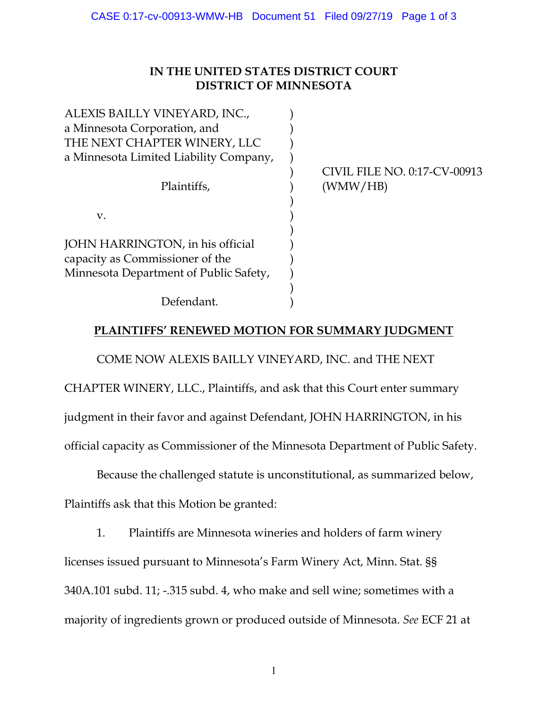## **IN THE UNITED STATES DISTRICT COURT DISTRICT OF MINNESOTA**

| ALEXIS BAILLY VINEYARD, INC.,          |                              |
|----------------------------------------|------------------------------|
| a Minnesota Corporation, and           |                              |
| THE NEXT CHAPTER WINERY, LLC           |                              |
| a Minnesota Limited Liability Company, |                              |
|                                        | CIVIL FILE NO. 0:17-CV-00913 |
| Plaintiffs,                            | (WMW/HB)                     |
|                                        |                              |
| $V_{\cdot}$                            |                              |
|                                        |                              |
| JOHN HARRINGTON, in his official       |                              |
| capacity as Commissioner of the        |                              |
| Minnesota Department of Public Safety, |                              |
|                                        |                              |
| Defendant.                             |                              |

## **PLAINTIFFS' RENEWED MOTION FOR SUMMARY JUDGMENT**

COME NOW ALEXIS BAILLY VINEYARD, INC. and THE NEXT

CHAPTER WINERY, LLC., Plaintiffs, and ask that this Court enter summary

judgment in their favor and against Defendant, JOHN HARRINGTON, in his

official capacity as Commissioner of the Minnesota Department of Public Safety.

Because the challenged statute is unconstitutional, as summarized below,

Plaintiffs ask that this Motion be granted:

1. Plaintiffs are Minnesota wineries and holders of farm winery licenses issued pursuant to Minnesota's Farm Winery Act, Minn. Stat. §§ 340A.101 subd. 11; -.315 subd. 4, who make and sell wine; sometimes with a majority of ingredients grown or produced outside of Minnesota. *See* ECF 21 at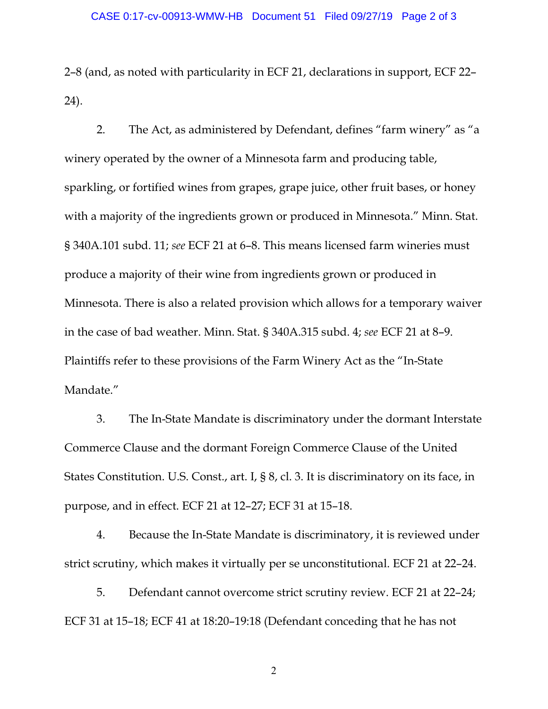2–8 (and, as noted with particularity in ECF 21, declarations in support, ECF 22– 24).

2. The Act, as administered by Defendant, defines "farm winery" as "a winery operated by the owner of a Minnesota farm and producing table, sparkling, or fortified wines from grapes, grape juice, other fruit bases, or honey with a majority of the ingredients grown or produced in Minnesota." Minn. Stat. § 340A.101 subd. 11; *see* ECF 21 at 6–8. This means licensed farm wineries must produce a majority of their wine from ingredients grown or produced in Minnesota. There is also a related provision which allows for a temporary waiver in the case of bad weather. Minn. Stat. § 340A.315 subd. 4; *see* ECF 21 at 8–9. Plaintiffs refer to these provisions of the Farm Winery Act as the "In-State Mandate."

3. The In-State Mandate is discriminatory under the dormant Interstate Commerce Clause and the dormant Foreign Commerce Clause of the United States Constitution. U.S. Const., art. I, § 8, cl. 3. It is discriminatory on its face, in purpose, and in effect. ECF 21 at 12–27; ECF 31 at 15–18.

4. Because the In-State Mandate is discriminatory, it is reviewed under strict scrutiny, which makes it virtually per se unconstitutional. ECF 21 at 22–24.

5. Defendant cannot overcome strict scrutiny review. ECF 21 at 22–24; ECF 31 at 15–18; ECF 41 at 18:20–19:18 (Defendant conceding that he has not

2